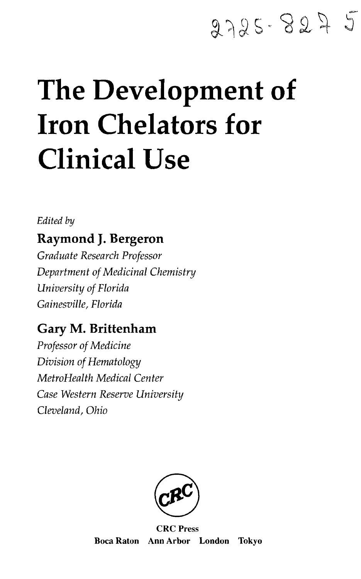## 2725-827 5

# **The Development of Iron Chelators for Clinical Use**

#### *Edited by*

## **Raymond J. Bergeron**

*Graduate Research Professor Department of Medicinal Chemistry University of Florida Gainesville, Florida*

## Gary M. Brittenham

*Professor of Medicine Division of Hematology MetroHealth Medical Center Case Western Reserve University Cleveland, Ohio*



CRC Press Boca Raton Ann Arbor London Tokyo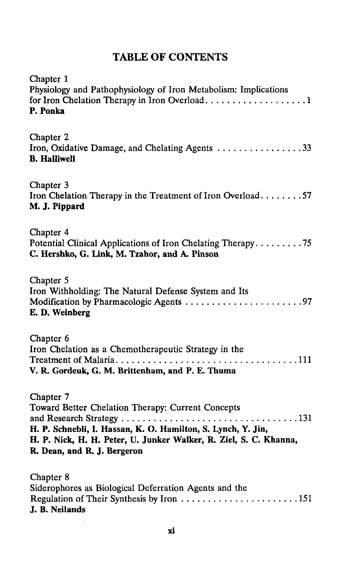### TABLE OF CONTENTS

| Chapter 1<br>Physiology and Pathophysiology of Iron Metabolism: Implications<br>P. Ponka                                                                                                                                           |
|------------------------------------------------------------------------------------------------------------------------------------------------------------------------------------------------------------------------------------|
| Chapter 2<br>Iron, Oxidative Damage, and Chelating Agents 33<br><b>B.</b> Halliwell                                                                                                                                                |
| Chapter 3<br>Iron Chelation Therapy in the Treatment of Iron Overload57<br>M. J. Pippard                                                                                                                                           |
| Chapter 4<br>Potential Clinical Applications of Iron Chelating Therapy75<br>C. Hershko, G. Link, M. Tzahor, and A. Pinson                                                                                                          |
| Chapter 5<br>Iron Withholding: The Natural Defense System and Its<br>Modification by Pharmacologic Agents 97<br>E. D. Weinberg                                                                                                     |
| Chapter 6<br>Iron Chelation as a Chemotherapeutic Strategy in the<br>V. R. Gordeuk, G. M. Brittenham, and P. E. Thuma                                                                                                              |
| Chapter 7<br>Toward Better Chelation Therapy: Current Concepts<br>H. P. Schnebli, I. Hassan, K. O. Hamilton, S. Lynch, Y. Jin,<br>H. P. Nick, H. H. Peter, U. Junker Walker, R. Ziel, S. C. Khanna,<br>R. Dean, and R. J. Bergeron |
| Chapter 8<br>Siderophores as Biological Deferration Agents and the<br>J. B. Neilands                                                                                                                                               |

 $\ddot{\phantom{0}}$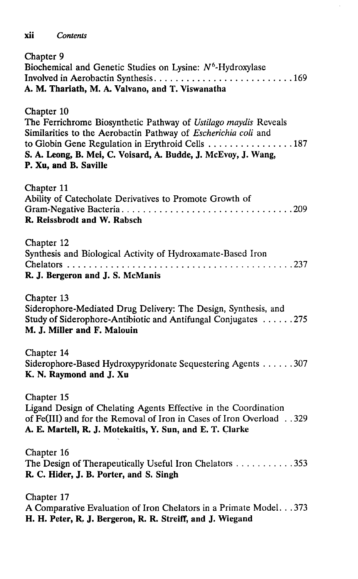#### **xii** *Contents*

| Chapter 9<br>Biochemical and Genetic Studies on Lysine: $N^6$ -Hydroxylase<br>A. M. Thariath, M. A. Valvano, and T. Viswanatha                                                                                                                                                                 |
|------------------------------------------------------------------------------------------------------------------------------------------------------------------------------------------------------------------------------------------------------------------------------------------------|
| Chapter 10<br>The Ferrichrome Biosynthetic Pathway of Ustilago maydis Reveals<br>Similarities to the Aerobactin Pathway of Escherichia coli and<br>to Globin Gene Regulation in Erythroid Cells 187<br>S. A. Leong, B. Mei, C. Voisard, A. Budde, J. McEvoy, J. Wang,<br>P. Xu, and B. Saville |
| Chapter 11<br>Ability of Catecholate Derivatives to Promote Growth of<br>R. Reissbrodt and W. Rabsch                                                                                                                                                                                           |
| Chapter 12<br>Synthesis and Biological Activity of Hydroxamate-Based Iron<br>R. J. Bergeron and J. S. McManis                                                                                                                                                                                  |
| Chapter 13<br>Siderophore-Mediated Drug Delivery: The Design, Synthesis, and<br>Study of Siderophore-Antibiotic and Antifungal Conjugates 275<br>M. J. Miller and F. Malouin                                                                                                                   |
| Chapter 14<br>Siderophore-Based Hydroxypyridonate Sequestering Agents 307<br>K. N. Raymond and J. Xu                                                                                                                                                                                           |
| Chapter 15<br>Ligand Design of Chelating Agents Effective in the Coordination<br>of Fe(III) and for the Removal of Iron in Cases of Iron Overload329<br>A. E. Martell, R. J. Motekaitis, Y. Sun, and E. T. Clarke                                                                              |
| Chapter 16<br>The Design of Therapeutically Useful Iron Chelators 353<br>R. C. Hider, J. B. Porter, and S. Singh                                                                                                                                                                               |
| Chapter 17<br>A Comparative Evaluation of Iron Chelators in a Primate Model. 373<br>H. H. Peter, R. J. Bergeron, R. R. Streiff, and J. Wiegand                                                                                                                                                 |

 $\overline{\phantom{a}}$